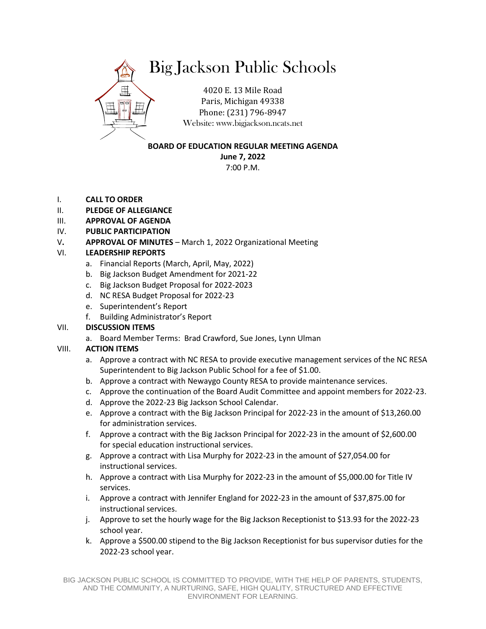

### **BOARD OF EDUCATION REGULAR MEETING AGENDA**

**June 7, 2022** 7:00 P.M.

- I. **CALL TO ORDER**
- II. **PLEDGE OF ALLEGIANCE**
- III. **APPROVAL OF AGENDA**
- IV. **PUBLIC PARTICIPATION**
- V**. APPROVAL OF MINUTES**  March 1, 2022 Organizational Meeting

# VI. **LEADERSHIP REPORTS**

- a. Financial Reports (March, April, May, 2022)
- b. Big Jackson Budget Amendment for 2021-22
- c. Big Jackson Budget Proposal for 2022-2023
- d. NC RESA Budget Proposal for 2022-23
- e. Superintendent's Report
- f. Building Administrator's Report

### VII. **DISCUSSION ITEMS**

a. Board Member Terms: Brad Crawford, Sue Jones, Lynn Ulman

# VIII. **ACTION ITEMS**

- a. Approve a contract with NC RESA to provide executive management services of the NC RESA Superintendent to Big Jackson Public School for a fee of \$1.00.
- b. Approve a contract with Newaygo County RESA to provide maintenance services.
- c. Approve the continuation of the Board Audit Committee and appoint members for 2022-23.
- d. Approve the 2022-23 Big Jackson School Calendar.
- e. Approve a contract with the Big Jackson Principal for 2022-23 in the amount of \$13,260.00 for administration services.
- f. Approve a contract with the Big Jackson Principal for 2022-23 in the amount of \$2,600.00 for special education instructional services.
- g. Approve a contract with Lisa Murphy for 2022-23 in the amount of \$27,054.00 for instructional services.
- h. Approve a contract with Lisa Murphy for 2022-23 in the amount of \$5,000.00 for Title IV services.
- i. Approve a contract with Jennifer England for 2022-23 in the amount of \$37,875.00 for instructional services.
- j. Approve to set the hourly wage for the Big Jackson Receptionist to \$13.93 for the 2022-23 school year.
- k. Approve a \$500.00 stipend to the Big Jackson Receptionist for bus supervisor duties for the 2022-23 school year.